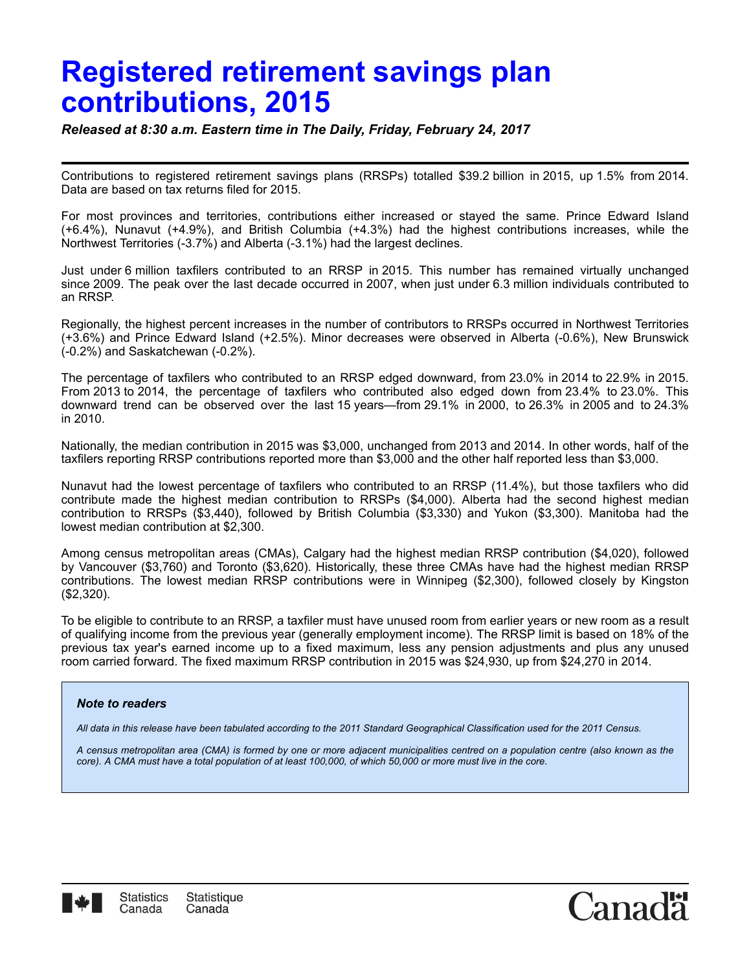# **Registered retirement savings plan contributions, 2015**

*Released at 8:30 a.m. Eastern time in The Daily, Friday, February 24, 2017*

Contributions to registered retirement savings plans (RRSPs) totalled \$39.2 billion in 2015, up 1.5% from 2014. Data are based on tax returns filed for 2015.

For most provinces and territories, contributions either increased or stayed the same. Prince Edward Island (+6.4%), Nunavut (+4.9%), and British Columbia (+4.3%) had the highest contributions increases, while the Northwest Territories (-3.7%) and Alberta (-3.1%) had the largest declines.

Just under 6 million taxfilers contributed to an RRSP in 2015. This number has remained virtually unchanged since 2009. The peak over the last decade occurred in 2007, when just under 6.3 million individuals contributed to an RRSP.

Regionally, the highest percent increases in the number of contributors to RRSPs occurred in Northwest Territories (+3.6%) and Prince Edward Island (+2.5%). Minor decreases were observed in Alberta (-0.6%), New Brunswick (-0.2%) and Saskatchewan (-0.2%).

The percentage of taxfilers who contributed to an RRSP edged downward, from 23.0% in 2014 to 22.9% in 2015. From 2013 to 2014, the percentage of taxfilers who contributed also edged down from 23.4% to 23.0%. This downward trend can be observed over the last 15 years—from 29.1% in 2000, to 26.3% in 2005 and to 24.3% in 2010.

Nationally, the median contribution in 2015 was \$3,000, unchanged from 2013 and 2014. In other words, half of the taxfilers reporting RRSP contributions reported more than \$3,000 and the other half reported less than \$3,000.

Nunavut had the lowest percentage of taxfilers who contributed to an RRSP (11.4%), but those taxfilers who did contribute made the highest median contribution to RRSPs (\$4,000). Alberta had the second highest median contribution to RRSPs (\$3,440), followed by British Columbia (\$3,330) and Yukon (\$3,300). Manitoba had the lowest median contribution at \$2,300.

Among census metropolitan areas (CMAs), Calgary had the highest median RRSP contribution (\$4,020), followed by Vancouver (\$3,760) and Toronto (\$3,620). Historically, these three CMAs have had the highest median RRSP contributions. The lowest median RRSP contributions were in Winnipeg (\$2,300), followed closely by Kingston (\$2,320).

To be eligible to contribute to an RRSP, a taxfiler must have unused room from earlier years or new room as a result of qualifying income from the previous year (generally employment income). The RRSP limit is based on 18% of the previous tax year's earned income up to a fixed maximum, less any pension adjustments and plus any unused room carried forward. The fixed maximum RRSP contribution in 2015 was \$24,930, up from \$24,270 in 2014.

### *Note to readers*

*All data in this release have been tabulated according to the 2011 Standard Geographical Classification used for the 2011 Census.*

*A census metropolitan area (CMA) is formed by one or more adjacent municipalities centred on a population centre (also known as the core). A CMA must have a total population of at least 100,000, of which 50,000 or more must live in the core.*



Canac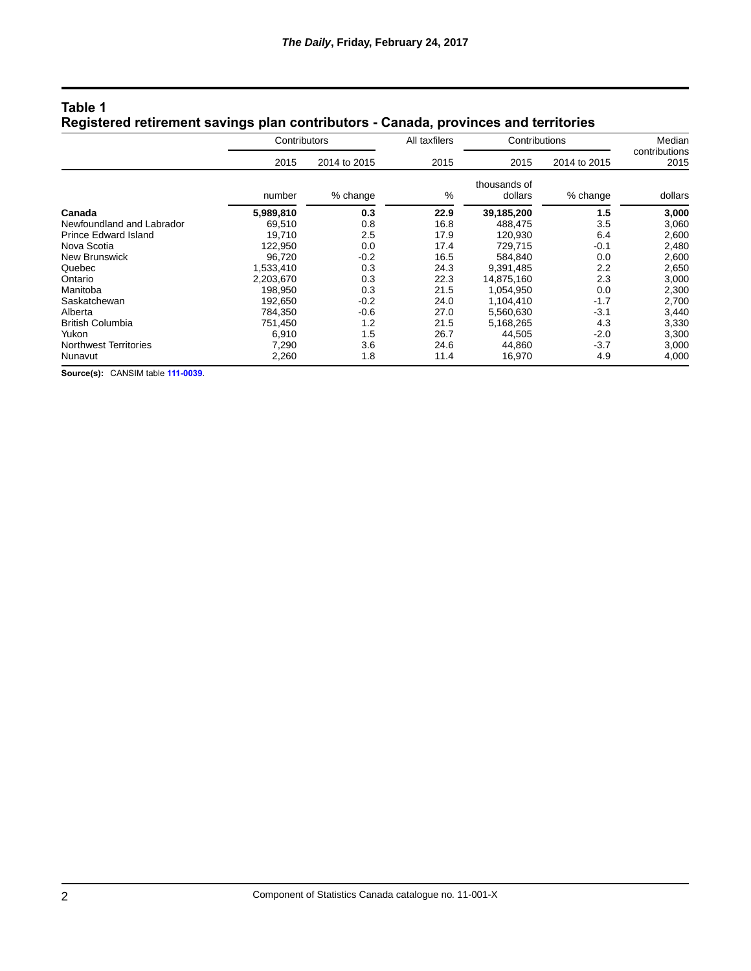| Registered retirement savings plan contributors - Canada, provinces and territories |              |              |               |                         |              |                         |  |  |  |
|-------------------------------------------------------------------------------------|--------------|--------------|---------------|-------------------------|--------------|-------------------------|--|--|--|
|                                                                                     | Contributors |              | All taxfilers | Contributions           |              | Median<br>contributions |  |  |  |
|                                                                                     | 2015         | 2014 to 2015 | 2015          | 2015                    | 2014 to 2015 | 2015                    |  |  |  |
|                                                                                     | number       | % change     | %             | thousands of<br>dollars | % change     | dollars                 |  |  |  |
| Canada                                                                              | 5.989.810    | 0.3          | 22.9          | 39.185.200              | 1.5          | 3,000                   |  |  |  |
| Newfoundland and Labrador                                                           | 69.510       | 0.8          | 16.8          | 488.475                 | 3.5          | 3,060                   |  |  |  |
| <b>Prince Edward Island</b>                                                         | 19.710       | 2.5          | 17.9          | 120.930                 | 6.4          | 2,600                   |  |  |  |

Prince Edward Island 19,710 2.5 17.9 120,930 6.4 2,600 Nova Scotia 122,950 0.0 17.4 729,715 -0.1 2,480 New Brunswick 96,720 -0.2 16.5 584,840 0.0 2,600 Quebec 1,533,410 0.3 24.3 9,391,485 2.2 2,650 Ontario 2,203,670 0.3 22.3 14,875,160 2.3 3,000 Manitoba 198,950 0.3 21.5 1,054,950 0.0 2,300 Saskatchewan 192,650 -0.2 24.0 1,104,410 -1.7 2,700 Alberta 784,350 -0.6 27.0 5,560,630 -3.1 3,440 British Columbia 751,450 1.2 21.5 5,168,265 4.3 3,330 Yukon 6,910 1.5 26.7 44,505 -2.0 3,300 Northwest Territories 1,290 7,290 3.6 24.6 44,860 3.7 3,000<br>Nunavut 2,260 1.8 11.4 16,970 4.9 4,000 Nunavut 2,260 1.8 11.4 16,970 4.9 4,000

## **Table 1 Registered retirement savings plan contributors - Canada, provinces and territories**

**Source(s):** CANSIM table **[111-0039](http://www5.statcan.gc.ca/cansim/a03?lang=eng&pattern=111-0039&p2=31)**.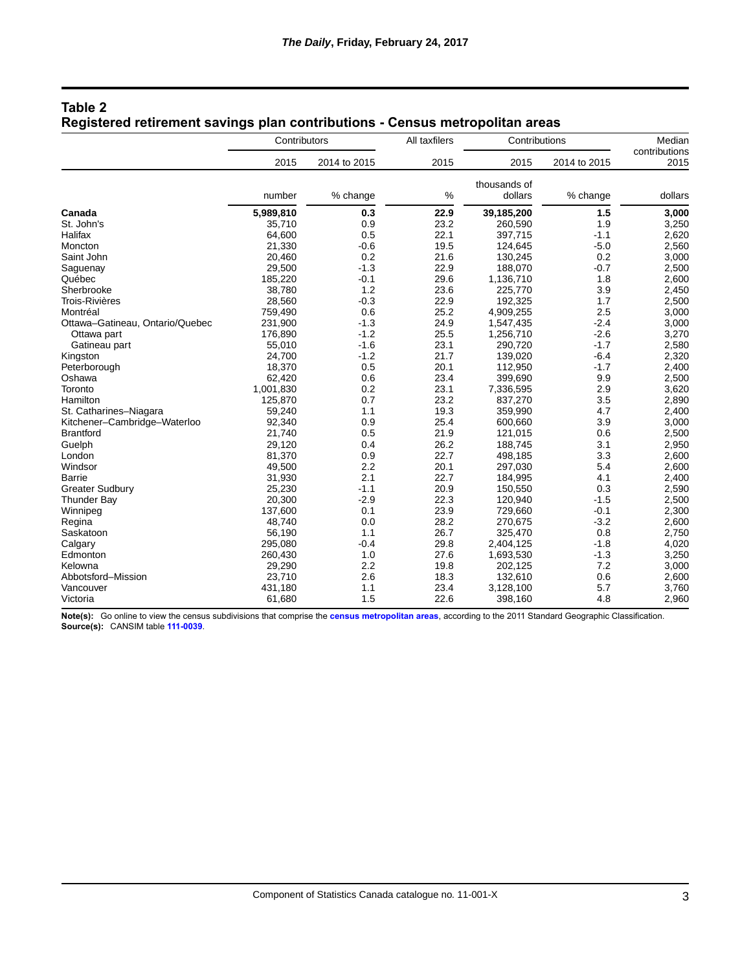|                                 | Contributors |              | All taxfilers | Contributions |              | Median<br>contributions |
|---------------------------------|--------------|--------------|---------------|---------------|--------------|-------------------------|
|                                 | 2015         | 2014 to 2015 | 2015          | 2015          | 2014 to 2015 | 2015                    |
|                                 |              |              |               | thousands of  |              |                         |
|                                 | number       | % change     | %             | dollars       | % change     | dollars                 |
| Canada                          | 5,989,810    | 0.3          | 22.9          | 39,185,200    | 1.5          | 3,000                   |
| St. John's                      | 35,710       | 0.9          | 23.2          | 260,590       | 1.9          | 3,250                   |
| Halifax                         | 64,600       | 0.5          | 22.1          | 397,715       | $-1.1$       | 2,620                   |
| Moncton                         | 21,330       | $-0.6$       | 19.5          | 124,645       | $-5.0$       | 2,560                   |
| Saint John                      | 20,460       | 0.2          | 21.6          | 130,245       | 0.2          | 3,000                   |
| Saguenay                        | 29,500       | $-1.3$       | 22.9          | 188,070       | $-0.7$       | 2,500                   |
| Québec                          | 185,220      | $-0.1$       | 29.6          | 1,136,710     | 1.8          | 2,600                   |
| Sherbrooke                      | 38,780       | 1.2          | 23.6          | 225,770       | 3.9          | 2,450                   |
| <b>Trois-Rivières</b>           | 28,560       | $-0.3$       | 22.9          | 192,325       | 1.7          | 2,500                   |
| Montréal                        | 759,490      | 0.6          | 25.2          | 4,909,255     | 2.5          | 3,000                   |
| Ottawa-Gatineau, Ontario/Quebec | 231,900      | $-1.3$       | 24.9          | 1,547,435     | $-2.4$       | 3,000                   |
| Ottawa part                     | 176,890      | $-1.2$       | 25.5          | 1,256,710     | $-2.6$       | 3,270                   |
| Gatineau part                   | 55,010       | $-1.6$       | 23.1          | 290,720       | $-1.7$       | 2,580                   |
| Kingston                        | 24,700       | $-1.2$       | 21.7          | 139,020       | $-6.4$       | 2,320                   |
| Peterborough                    | 18,370       | 0.5          | 20.1          | 112,950       | $-1.7$       | 2,400                   |
| Oshawa                          | 62,420       | 0.6          | 23.4          | 399,690       | 9.9          | 2,500                   |
| Toronto                         | 1,001,830    | 0.2          | 23.1          | 7,336,595     | 2.9          | 3,620                   |
| Hamilton                        | 125,870      | 0.7          | 23.2          | 837,270       | 3.5          | 2,890                   |
| St. Catharines-Niagara          | 59,240       | 1.1          | 19.3          | 359,990       | 4.7          | 2,400                   |
| Kitchener-Cambridge-Waterloo    | 92,340       | 0.9          | 25.4          | 600,660       | 3.9          | 3,000                   |
| <b>Brantford</b>                | 21,740       | 0.5          | 21.9          | 121,015       | 0.6          | 2,500                   |
| Guelph                          | 29,120       | 0.4          | 26.2          | 188,745       | 3.1          | 2,950                   |
| London                          | 81,370       | 0.9          | 22.7          | 498,185       | 3.3          | 2,600                   |
| Windsor                         | 49,500       | 2.2          | 20.1          | 297,030       | 5.4          | 2,600                   |
| Barrie                          | 31,930       | 2.1          | 22.7          | 184,995       | 4.1          | 2,400                   |
| <b>Greater Sudbury</b>          | 25,230       | $-1.1$       | 20.9          | 150,550       | 0.3          | 2,590                   |
| <b>Thunder Bay</b>              | 20,300       | $-2.9$       | 22.3          | 120,940       | $-1.5$       | 2,500                   |
| Winnipeg                        | 137,600      | 0.1          | 23.9          | 729,660       | $-0.1$       | 2,300                   |
| Regina                          | 48,740       | 0.0          | 28.2          | 270,675       | $-3.2$       | 2,600                   |
| Saskatoon                       | 56,190       | 1.1          | 26.7          | 325,470       | 0.8          | 2,750                   |
| Calgary                         | 295,080      | $-0.4$       | 29.8          | 2,404,125     | $-1.8$       | 4,020                   |
| Edmonton                        | 260,430      | 1.0          | 27.6          | 1,693,530     | $-1.3$       | 3,250                   |
| Kelowna                         | 29,290       | 2.2          | 19.8          | 202,125       | 7.2          | 3,000                   |
| Abbotsford-Mission              | 23,710       | 2.6          | 18.3          | 132,610       | 0.6          | 2,600                   |
| Vancouver                       | 431,180      | 1.1          | 23.4          | 3,128,100     | 5.7          | 3,760                   |
| Victoria                        | 61,680       | 1.5          | 22.6          | 398,160       | 4.8          | 2,960                   |

## **Table 2 Registered retirement savings plan contributions - Census metropolitan areas**

**Note(s):** Go online to view the census subdivisions that comprise the **[census metropolitan areas](http://www23.statcan.gc.ca/imdb/p3VD.pl?Function=getVDDetail&db=imdb&dis=2&adm=8&TVD=117159&CHVD=117161&CVD=117160&CPV=A&CST=01012011&MLV=3&CLV=1)**, according to the 2011 Standard Geographic Classification. **Source(s):** CANSIM table **[111-0039](http://www5.statcan.gc.ca/cansim/a03?lang=eng&pattern=111-0039&p2=31)**.